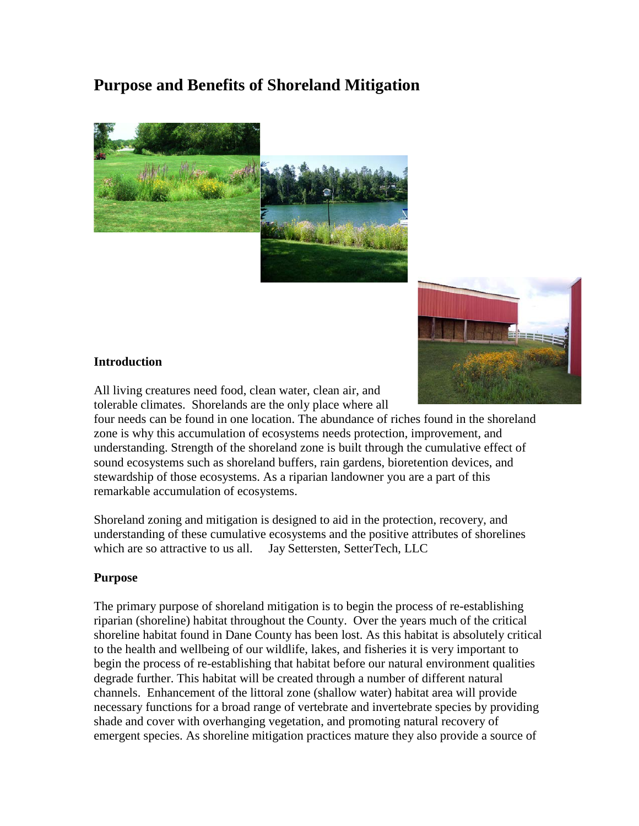# **Purpose and Benefits of Shoreland Mitigation**





### **Introduction**

All living creatures need food, clean water, clean air, and tolerable climates. Shorelands are the only place where all

four needs can be found in one location. The abundance of riches found in the shoreland zone is why this accumulation of ecosystems needs protection, improvement, and understanding. Strength of the shoreland zone is built through the cumulative effect of sound ecosystems such as shoreland buffers, rain gardens, bioretention devices, and stewardship of those ecosystems. As a riparian landowner you are a part of this remarkable accumulation of ecosystems.

Shoreland zoning and mitigation is designed to aid in the protection, recovery, and understanding of these cumulative ecosystems and the positive attributes of shorelines which are so attractive to us all. Jay Settersten, SetterTech, LLC

### **Purpose**

The primary purpose of shoreland mitigation is to begin the process of re-establishing riparian (shoreline) habitat throughout the County. Over the years much of the critical shoreline habitat found in Dane County has been lost. As this habitat is absolutely critical to the health and wellbeing of our wildlife, lakes, and fisheries it is very important to begin the process of re-establishing that habitat before our natural environment qualities degrade further. This habitat will be created through a number of different natural channels. Enhancement of the littoral zone (shallow water) habitat area will provide necessary functions for a broad range of vertebrate and invertebrate species by providing shade and cover with overhanging vegetation, and promoting natural recovery of emergent species. As shoreline mitigation practices mature they also provide a source of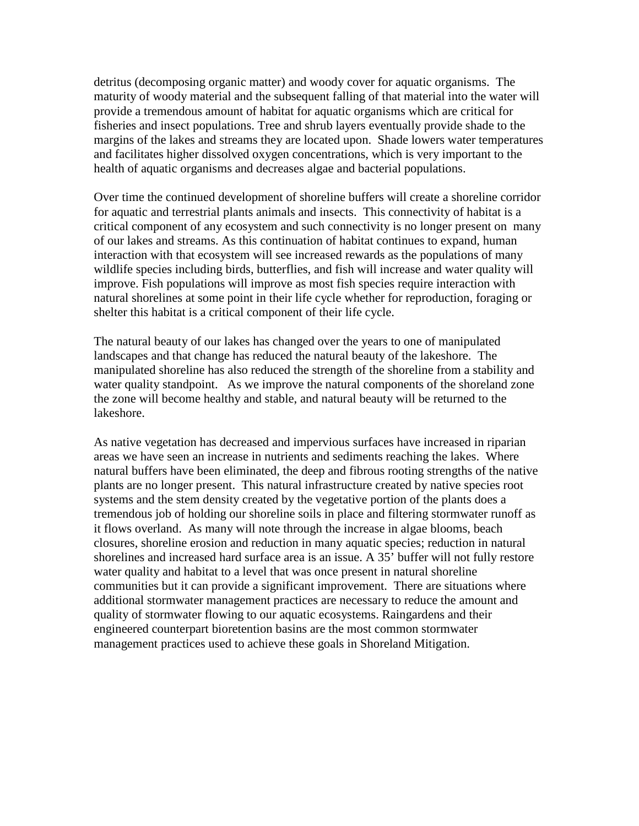detritus (decomposing organic matter) and woody cover for aquatic organisms. The maturity of woody material and the subsequent falling of that material into the water will provide a tremendous amount of habitat for aquatic organisms which are critical for fisheries and insect populations. Tree and shrub layers eventually provide shade to the margins of the lakes and streams they are located upon. Shade lowers water temperatures and facilitates higher dissolved oxygen concentrations, which is very important to the health of aquatic organisms and decreases algae and bacterial populations.

Over time the continued development of shoreline buffers will create a shoreline corridor for aquatic and terrestrial plants animals and insects. This connectivity of habitat is a critical component of any ecosystem and such connectivity is no longer present on many of our lakes and streams. As this continuation of habitat continues to expand, human interaction with that ecosystem will see increased rewards as the populations of many wildlife species including birds, butterflies, and fish will increase and water quality will improve. Fish populations will improve as most fish species require interaction with natural shorelines at some point in their life cycle whether for reproduction, foraging or shelter this habitat is a critical component of their life cycle.

The natural beauty of our lakes has changed over the years to one of manipulated landscapes and that change has reduced the natural beauty of the lakeshore. The manipulated shoreline has also reduced the strength of the shoreline from a stability and water quality standpoint. As we improve the natural components of the shoreland zone the zone will become healthy and stable, and natural beauty will be returned to the lakeshore.

As native vegetation has decreased and impervious surfaces have increased in riparian areas we have seen an increase in nutrients and sediments reaching the lakes. Where natural buffers have been eliminated, the deep and fibrous rooting strengths of the native plants are no longer present. This natural infrastructure created by native species root systems and the stem density created by the vegetative portion of the plants does a tremendous job of holding our shoreline soils in place and filtering stormwater runoff as it flows overland. As many will note through the increase in algae blooms, beach closures, shoreline erosion and reduction in many aquatic species; reduction in natural shorelines and increased hard surface area is an issue. A 35' buffer will not fully restore water quality and habitat to a level that was once present in natural shoreline communities but it can provide a significant improvement. There are situations where additional stormwater management practices are necessary to reduce the amount and quality of stormwater flowing to our aquatic ecosystems. Raingardens and their engineered counterpart bioretention basins are the most common stormwater management practices used to achieve these goals in Shoreland Mitigation.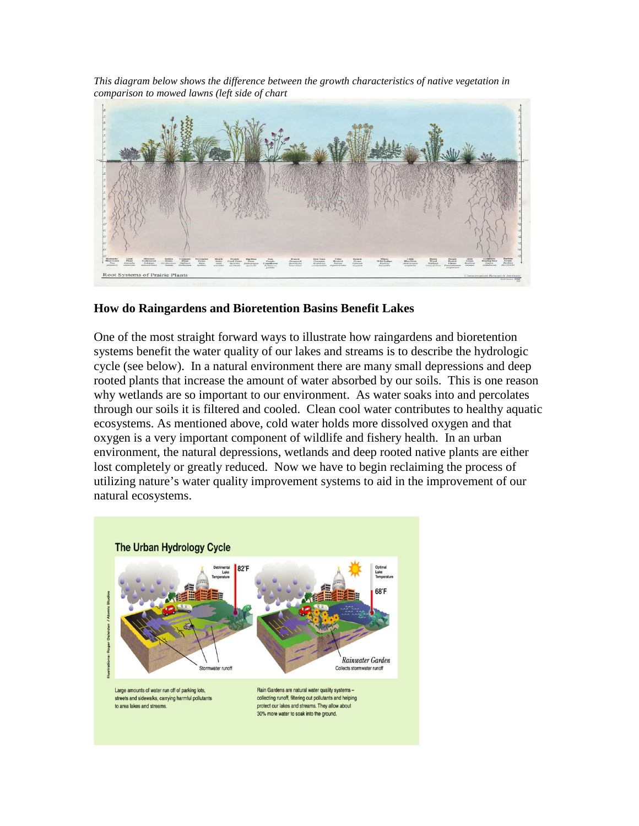*This diagram below shows the difference between the growth characteristics of native vegetation in comparison to mowed lawns (left side of chart*



### **How do Raingardens and Bioretention Basins Benefit Lakes**

One of the most straight forward ways to illustrate how raingardens and bioretention systems benefit the water quality of our lakes and streams is to describe the hydrologic cycle (see below). In a natural environment there are many small depressions and deep rooted plants that increase the amount of water absorbed by our soils. This is one reason why wetlands are so important to our environment. As water soaks into and percolates through our soils it is filtered and cooled. Clean cool water contributes to healthy aquatic ecosystems. As mentioned above, cold water holds more dissolved oxygen and that oxygen is a very important component of wildlife and fishery health. In an urban environment, the natural depressions, wetlands and deep rooted native plants are either lost completely or greatly reduced. Now we have to begin reclaiming the process of utilizing nature's water quality improvement systems to aid in the improvement of our natural ecosystems.